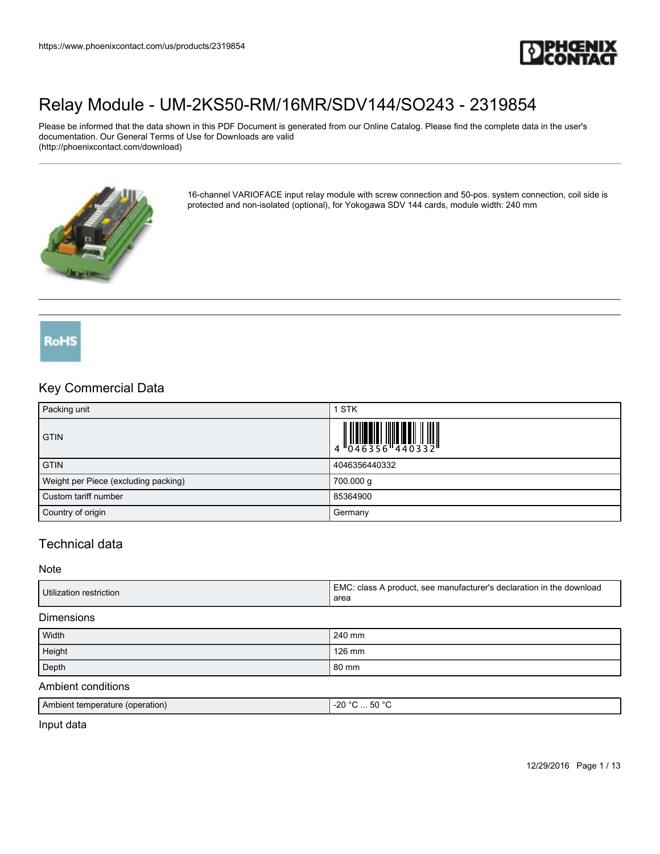

Please be informed that the data shown in this PDF Document is generated from our Online Catalog. Please find the complete data in the user's documentation. Our General Terms of Use for Downloads are valid (http://phoenixcontact.com/download)



16-channel VARIOFACE input relay module with screw connection and 50-pos. system connection, coil side is protected and non-isolated (optional), for Yokogawa SDV 144 cards, module width: 240 mm

## RoHS

## Key Commercial Data

| Packing unit                         | <b>STK</b>    |
|--------------------------------------|---------------|
| <b>GTIN</b>                          |               |
| <b>GTIN</b>                          | 4046356440332 |
| Weight per Piece (excluding packing) | 700.000 g     |
| Custom tariff number                 | 85364900      |
| Country of origin                    | Germany       |

## Technical data

#### Note

| Utilization restriction | EMC.<br>A product, see manufacturer's declaration in<br>∈the download.<br>class<br>area |
|-------------------------|-----------------------------------------------------------------------------------------|
|-------------------------|-----------------------------------------------------------------------------------------|

#### Dimensions

| Width  | 240 mm |
|--------|--------|
| Height | 126 mm |
| Depth  | 80 mm  |

#### Ambient conditions

| Ambien'<br>(operation)<br>.∩t temperature | ה∘ ה⊅<br>$\sim$<br>$\sim$<br>-26<br>w<br>$\sim$ $\sim$ $\sim$ |
|-------------------------------------------|---------------------------------------------------------------|
|                                           |                                                               |

Input data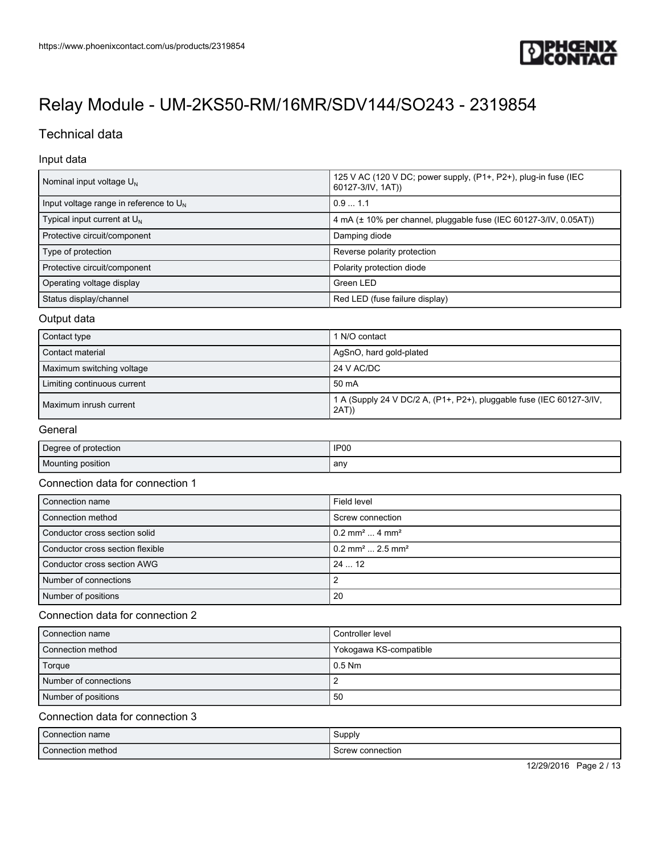

## Technical data

### Input data

| Nominal input voltage $U_{N}$             | 125 V AC (120 V DC; power supply, (P1+, P2+), plug-in fuse (IEC<br>60127-3/IV, 1AT)) |
|-------------------------------------------|--------------------------------------------------------------------------------------|
| Input voltage range in reference to $U_N$ | 0.91.1                                                                               |
| Typical input current at $U_N$            | 4 mA (± 10% per channel, pluggable fuse (IEC 60127-3/IV, 0.05AT))                    |
| Protective circuit/component              | Damping diode                                                                        |
| Type of protection                        | Reverse polarity protection                                                          |
| Protective circuit/component              | Polarity protection diode                                                            |
| Operating voltage display                 | Green LED                                                                            |
| Status display/channel                    | Red LED (fuse failure display)                                                       |

### Output data

| Contact type                | I N/O contact                                                                 |
|-----------------------------|-------------------------------------------------------------------------------|
| Contact material            | AgSnO, hard gold-plated                                                       |
| Maximum switching voltage   | 24 V AC/DC                                                                    |
| Limiting continuous current | 50 mA                                                                         |
| Maximum inrush current      | 1 A (Supply 24 V DC/2 A, (P1+, P2+), pluggable fuse (IEC 60127-3/IV,<br>2AT)) |

### General

| Degree of protection | IP <sub>00</sub> |
|----------------------|------------------|
| Mounting position    | any              |

### Connection data for connection 1

| Connection name                  | Field level                                |
|----------------------------------|--------------------------------------------|
| Connection method                | Screw connection                           |
| Conductor cross section solid    | $10.2$ mm <sup>2</sup> 4 mm <sup>2</sup>   |
| Conductor cross section flexible | $10.2$ mm <sup>2</sup> 2.5 mm <sup>2</sup> |
| Conductor cross section AWG      | 24  12                                     |
| Number of connections            | 2                                          |
| Number of positions              | 20                                         |

### Connection data for connection 2

| Connection name       | l Controller level     |
|-----------------------|------------------------|
| Connection method     | Yokogawa KS-compatible |
| Torque                | $0.5$ Nm               |
| Number of connections |                        |
| Number of positions   | 50                     |

### Connection data for connection 3

| Connection name   | Supply           |
|-------------------|------------------|
| Connection method | Screw connection |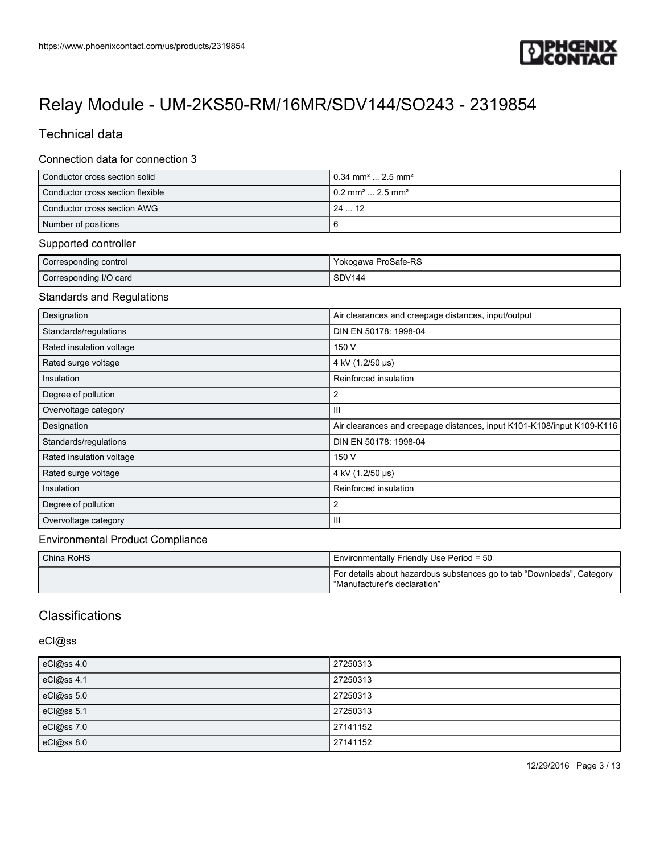

## Technical data

### Connection data for connection 3

| Conductor cross section solid    | $10.34$ mm <sup>2</sup> 2.5 mm <sup>2</sup> |
|----------------------------------|---------------------------------------------|
| Conductor cross section flexible | $10.2$ mm <sup>2</sup> 2.5 mm <sup>2</sup>  |
| l Conductor cross section AWG    | 2412                                        |
| Number of positions              |                                             |

### Supported controller

| Corresponding control  | Yokogawa ProSafe-RS |
|------------------------|---------------------|
| Corresponding I/O card | SDV144              |

### Standards and Regulations

| Designation              | Air clearances and creepage distances, input/output                    |
|--------------------------|------------------------------------------------------------------------|
| Standards/regulations    | DIN EN 50178: 1998-04                                                  |
| Rated insulation voltage | 150 V                                                                  |
| Rated surge voltage      | 4 kV (1.2/50 µs)                                                       |
| Insulation               | Reinforced insulation                                                  |
| Degree of pollution      | 2                                                                      |
| Overvoltage category     | $\mathbf{III}$                                                         |
| Designation              | Air clearances and creepage distances, input K101-K108/input K109-K116 |
| Standards/regulations    | DIN EN 50178: 1998-04                                                  |
| Rated insulation voltage | 150 V                                                                  |
| Rated surge voltage      | 4 kV (1.2/50 µs)                                                       |
| Insulation               | Reinforced insulation                                                  |
| Degree of pollution      | 2                                                                      |
| Overvoltage category     | $\mathbf{III}$                                                         |

### Environmental Product Compliance

| l China RoHS | I Environmentally Friendly Use Period = 50                                                             |
|--------------|--------------------------------------------------------------------------------------------------------|
|              | For details about hazardous substances go to tab "Downloads", Category<br>"Manufacturer's declaration" |

## **Classifications**

### eCl@ss

| eCl@ss 4.0 | 27250313 |
|------------|----------|
| eCl@ss 4.1 | 27250313 |
| eCl@ss 5.0 | 27250313 |
| eCl@ss 5.1 | 27250313 |
| eCl@ss 7.0 | 27141152 |
| eCl@ss 8.0 | 27141152 |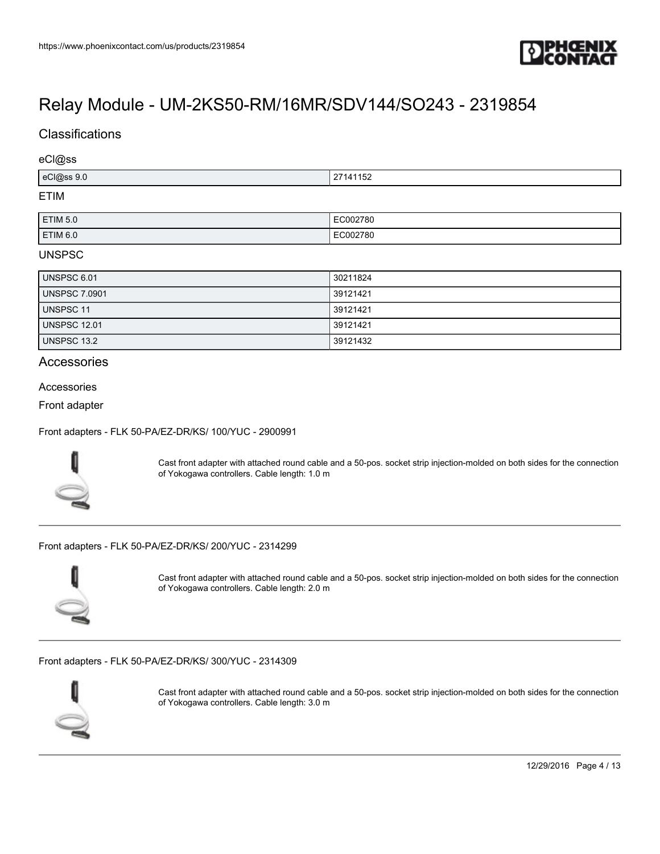

## **Classifications**

#### eCl@ss

| ACI           | $\cdots$ |
|---------------|----------|
| $4$ 22(n)     | . л      |
| $\sim$ $\sim$ | 21141132 |
| <b>ETIM</b>   |          |

#### ETIM

| <b>ETIM 5.0</b> | EC002780       |
|-----------------|----------------|
| <b>ETIM 6.0</b> | 102780<br>$ -$ |

### UNSPSC

| UNSPSC 6.01          | 30211824 |
|----------------------|----------|
| <b>UNSPSC 7.0901</b> | 39121421 |
| UNSPSC 11            | 39121421 |
| <b>UNSPSC 12.01</b>  | 39121421 |
| UNSPSC 13.2          | 39121432 |

### **Accessories**

#### Accessories

Front adapter

[Front adapters - FLK 50-PA/EZ-DR/KS/ 100/YUC - 2900991](https://www.phoenixcontact.com/us/products/2900991)



Cast front adapter with attached round cable and a 50-pos. socket strip injection-molded on both sides for the connection of Yokogawa controllers. Cable length: 1.0 m

[Front adapters - FLK 50-PA/EZ-DR/KS/ 200/YUC - 2314299](https://www.phoenixcontact.com/us/products/2314299)



Cast front adapter with attached round cable and a 50-pos. socket strip injection-molded on both sides for the connection of Yokogawa controllers. Cable length: 2.0 m

[Front adapters - FLK 50-PA/EZ-DR/KS/ 300/YUC - 2314309](https://www.phoenixcontact.com/us/products/2314309)



Cast front adapter with attached round cable and a 50-pos. socket strip injection-molded on both sides for the connection of Yokogawa controllers. Cable length: 3.0 m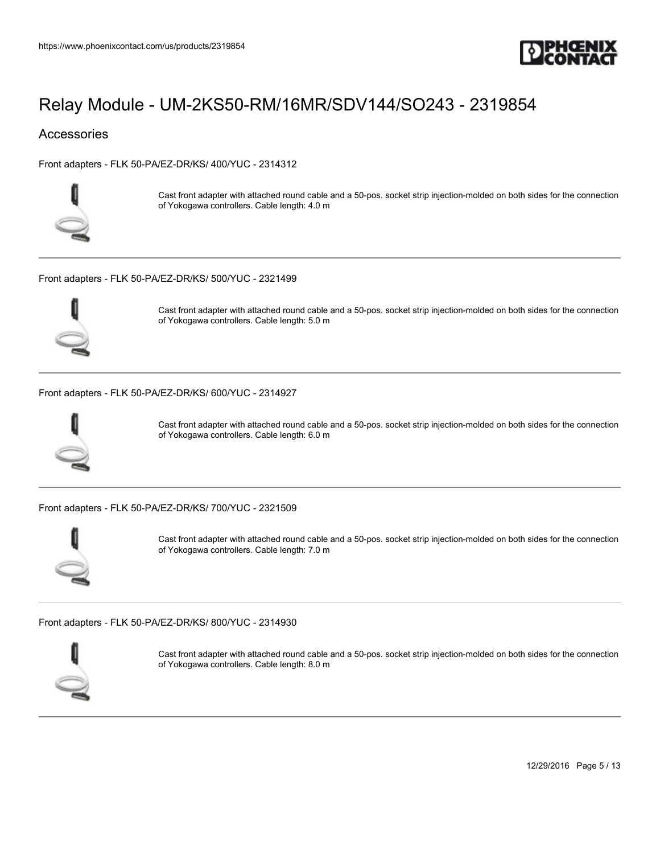

## **Accessories**

[Front adapters - FLK 50-PA/EZ-DR/KS/ 400/YUC - 2314312](https://www.phoenixcontact.com/us/products/2314312)



Cast front adapter with attached round cable and a 50-pos. socket strip injection-molded on both sides for the connection of Yokogawa controllers. Cable length: 4.0 m

[Front adapters - FLK 50-PA/EZ-DR/KS/ 500/YUC - 2321499](https://www.phoenixcontact.com/us/products/2321499)



Cast front adapter with attached round cable and a 50-pos. socket strip injection-molded on both sides for the connection of Yokogawa controllers. Cable length: 5.0 m

[Front adapters - FLK 50-PA/EZ-DR/KS/ 600/YUC - 2314927](https://www.phoenixcontact.com/us/products/2314927)



Cast front adapter with attached round cable and a 50-pos. socket strip injection-molded on both sides for the connection of Yokogawa controllers. Cable length: 6.0 m

[Front adapters - FLK 50-PA/EZ-DR/KS/ 700/YUC - 2321509](https://www.phoenixcontact.com/us/products/2321509)



Cast front adapter with attached round cable and a 50-pos. socket strip injection-molded on both sides for the connection of Yokogawa controllers. Cable length: 7.0 m

[Front adapters - FLK 50-PA/EZ-DR/KS/ 800/YUC - 2314930](https://www.phoenixcontact.com/us/products/2314930)



Cast front adapter with attached round cable and a 50-pos. socket strip injection-molded on both sides for the connection of Yokogawa controllers. Cable length: 8.0 m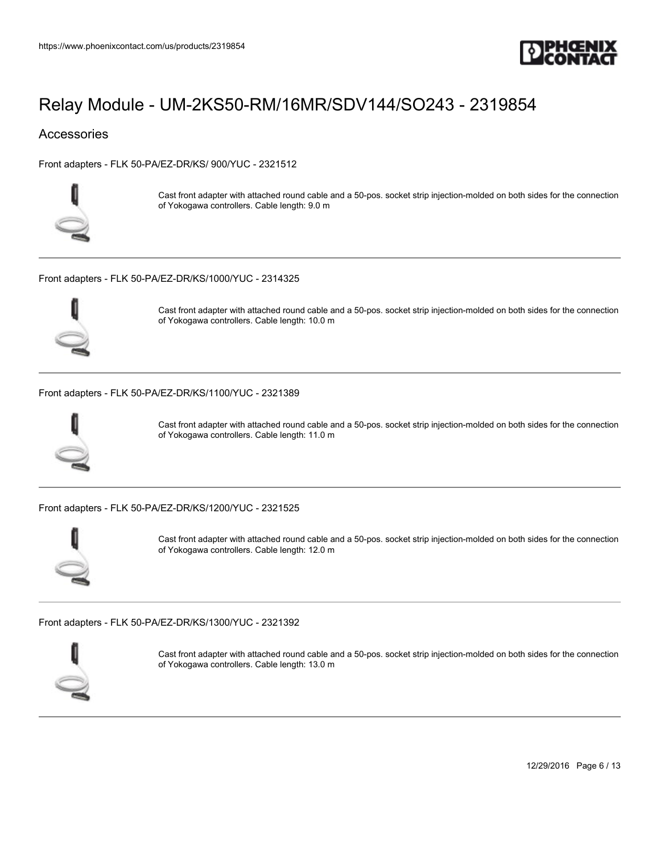

## **Accessories**

[Front adapters - FLK 50-PA/EZ-DR/KS/ 900/YUC - 2321512](https://www.phoenixcontact.com/us/products/2321512)



Cast front adapter with attached round cable and a 50-pos. socket strip injection-molded on both sides for the connection of Yokogawa controllers. Cable length: 9.0 m

[Front adapters - FLK 50-PA/EZ-DR/KS/1000/YUC - 2314325](https://www.phoenixcontact.com/us/products/2314325)



Cast front adapter with attached round cable and a 50-pos. socket strip injection-molded on both sides for the connection of Yokogawa controllers. Cable length: 10.0 m

#### [Front adapters - FLK 50-PA/EZ-DR/KS/1100/YUC - 2321389](https://www.phoenixcontact.com/us/products/2321389)



Cast front adapter with attached round cable and a 50-pos. socket strip injection-molded on both sides for the connection of Yokogawa controllers. Cable length: 11.0 m

[Front adapters - FLK 50-PA/EZ-DR/KS/1200/YUC - 2321525](https://www.phoenixcontact.com/us/products/2321525)



Cast front adapter with attached round cable and a 50-pos. socket strip injection-molded on both sides for the connection of Yokogawa controllers. Cable length: 12.0 m

[Front adapters - FLK 50-PA/EZ-DR/KS/1300/YUC - 2321392](https://www.phoenixcontact.com/us/products/2321392)



Cast front adapter with attached round cable and a 50-pos. socket strip injection-molded on both sides for the connection of Yokogawa controllers. Cable length: 13.0 m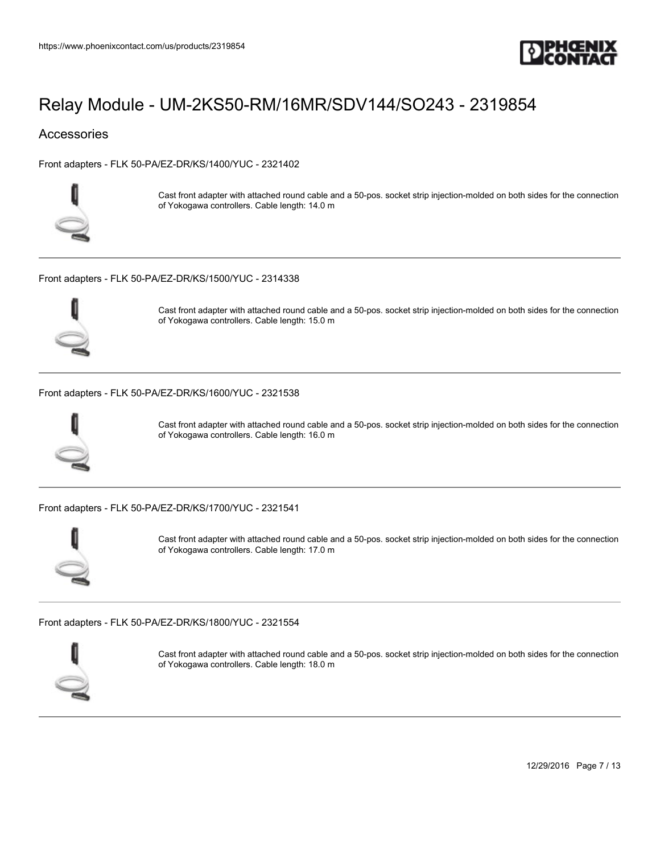

## **Accessories**

[Front adapters - FLK 50-PA/EZ-DR/KS/1400/YUC - 2321402](https://www.phoenixcontact.com/us/products/2321402)



Cast front adapter with attached round cable and a 50-pos. socket strip injection-molded on both sides for the connection of Yokogawa controllers. Cable length: 14.0 m

[Front adapters - FLK 50-PA/EZ-DR/KS/1500/YUC - 2314338](https://www.phoenixcontact.com/us/products/2314338)



Cast front adapter with attached round cable and a 50-pos. socket strip injection-molded on both sides for the connection of Yokogawa controllers. Cable length: 15.0 m

#### [Front adapters - FLK 50-PA/EZ-DR/KS/1600/YUC - 2321538](https://www.phoenixcontact.com/us/products/2321538)



Cast front adapter with attached round cable and a 50-pos. socket strip injection-molded on both sides for the connection of Yokogawa controllers. Cable length: 16.0 m

[Front adapters - FLK 50-PA/EZ-DR/KS/1700/YUC - 2321541](https://www.phoenixcontact.com/us/products/2321541)



Cast front adapter with attached round cable and a 50-pos. socket strip injection-molded on both sides for the connection of Yokogawa controllers. Cable length: 17.0 m

[Front adapters - FLK 50-PA/EZ-DR/KS/1800/YUC - 2321554](https://www.phoenixcontact.com/us/products/2321554)



Cast front adapter with attached round cable and a 50-pos. socket strip injection-molded on both sides for the connection of Yokogawa controllers. Cable length: 18.0 m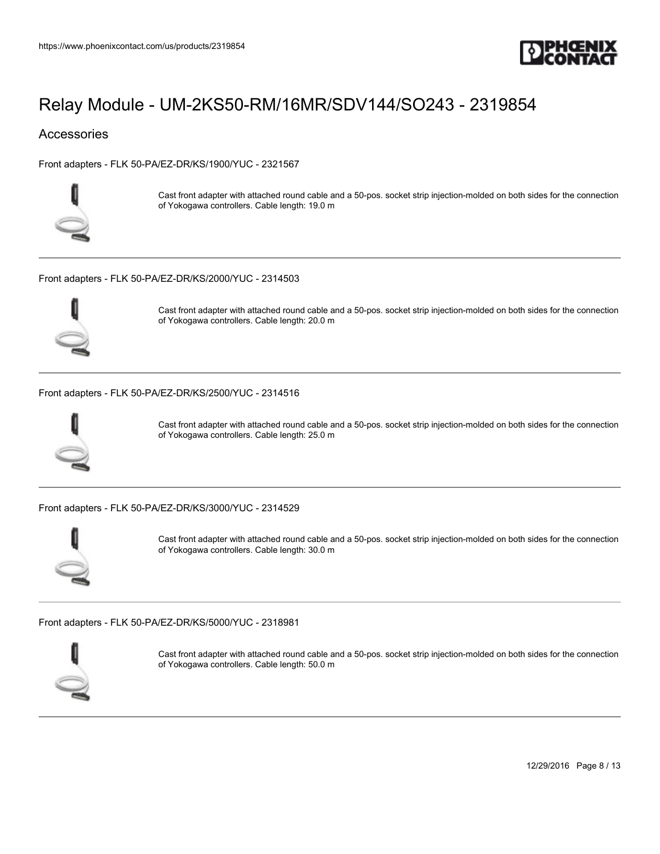

## **Accessories**

[Front adapters - FLK 50-PA/EZ-DR/KS/1900/YUC - 2321567](https://www.phoenixcontact.com/us/products/2321567)



Cast front adapter with attached round cable and a 50-pos. socket strip injection-molded on both sides for the connection of Yokogawa controllers. Cable length: 19.0 m

[Front adapters - FLK 50-PA/EZ-DR/KS/2000/YUC - 2314503](https://www.phoenixcontact.com/us/products/2314503)



Cast front adapter with attached round cable and a 50-pos. socket strip injection-molded on both sides for the connection of Yokogawa controllers. Cable length: 20.0 m

#### [Front adapters - FLK 50-PA/EZ-DR/KS/2500/YUC - 2314516](https://www.phoenixcontact.com/us/products/2314516)



Cast front adapter with attached round cable and a 50-pos. socket strip injection-molded on both sides for the connection of Yokogawa controllers. Cable length: 25.0 m

[Front adapters - FLK 50-PA/EZ-DR/KS/3000/YUC - 2314529](https://www.phoenixcontact.com/us/products/2314529)



Cast front adapter with attached round cable and a 50-pos. socket strip injection-molded on both sides for the connection of Yokogawa controllers. Cable length: 30.0 m

[Front adapters - FLK 50-PA/EZ-DR/KS/5000/YUC - 2318981](https://www.phoenixcontact.com/us/products/2318981)



Cast front adapter with attached round cable and a 50-pos. socket strip injection-molded on both sides for the connection of Yokogawa controllers. Cable length: 50.0 m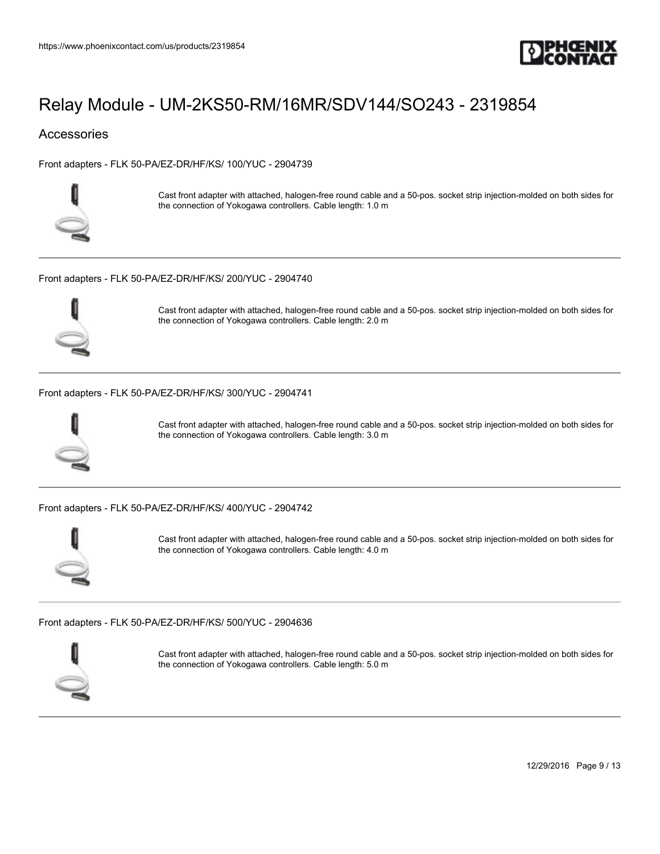

## **Accessories**

[Front adapters - FLK 50-PA/EZ-DR/HF/KS/ 100/YUC - 2904739](https://www.phoenixcontact.com/us/products/2904739)



Cast front adapter with attached, halogen-free round cable and a 50-pos. socket strip injection-molded on both sides for the connection of Yokogawa controllers. Cable length: 1.0 m

[Front adapters - FLK 50-PA/EZ-DR/HF/KS/ 200/YUC - 2904740](https://www.phoenixcontact.com/us/products/2904740)



Cast front adapter with attached, halogen-free round cable and a 50-pos. socket strip injection-molded on both sides for the connection of Yokogawa controllers. Cable length: 2.0 m

#### [Front adapters - FLK 50-PA/EZ-DR/HF/KS/ 300/YUC - 2904741](https://www.phoenixcontact.com/us/products/2904741)



Cast front adapter with attached, halogen-free round cable and a 50-pos. socket strip injection-molded on both sides for the connection of Yokogawa controllers. Cable length: 3.0 m

[Front adapters - FLK 50-PA/EZ-DR/HF/KS/ 400/YUC - 2904742](https://www.phoenixcontact.com/us/products/2904742)



Cast front adapter with attached, halogen-free round cable and a 50-pos. socket strip injection-molded on both sides for the connection of Yokogawa controllers. Cable length: 4.0 m

[Front adapters - FLK 50-PA/EZ-DR/HF/KS/ 500/YUC - 2904636](https://www.phoenixcontact.com/us/products/2904636)



Cast front adapter with attached, halogen-free round cable and a 50-pos. socket strip injection-molded on both sides for the connection of Yokogawa controllers. Cable length: 5.0 m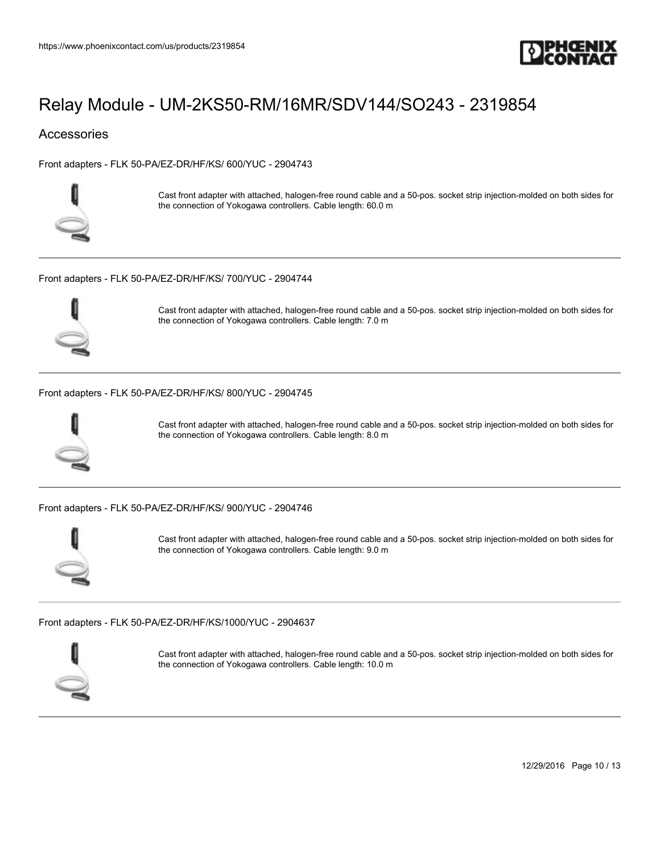

## **Accessories**

[Front adapters - FLK 50-PA/EZ-DR/HF/KS/ 600/YUC - 2904743](https://www.phoenixcontact.com/us/products/2904743)



Cast front adapter with attached, halogen-free round cable and a 50-pos. socket strip injection-molded on both sides for the connection of Yokogawa controllers. Cable length: 60.0 m

[Front adapters - FLK 50-PA/EZ-DR/HF/KS/ 700/YUC - 2904744](https://www.phoenixcontact.com/us/products/2904744)



Cast front adapter with attached, halogen-free round cable and a 50-pos. socket strip injection-molded on both sides for the connection of Yokogawa controllers. Cable length: 7.0 m

#### [Front adapters - FLK 50-PA/EZ-DR/HF/KS/ 800/YUC - 2904745](https://www.phoenixcontact.com/us/products/2904745)



Cast front adapter with attached, halogen-free round cable and a 50-pos. socket strip injection-molded on both sides for the connection of Yokogawa controllers. Cable length: 8.0 m

[Front adapters - FLK 50-PA/EZ-DR/HF/KS/ 900/YUC - 2904746](https://www.phoenixcontact.com/us/products/2904746)



Cast front adapter with attached, halogen-free round cable and a 50-pos. socket strip injection-molded on both sides for the connection of Yokogawa controllers. Cable length: 9.0 m

[Front adapters - FLK 50-PA/EZ-DR/HF/KS/1000/YUC - 2904637](https://www.phoenixcontact.com/us/products/2904637)



Cast front adapter with attached, halogen-free round cable and a 50-pos. socket strip injection-molded on both sides for the connection of Yokogawa controllers. Cable length: 10.0 m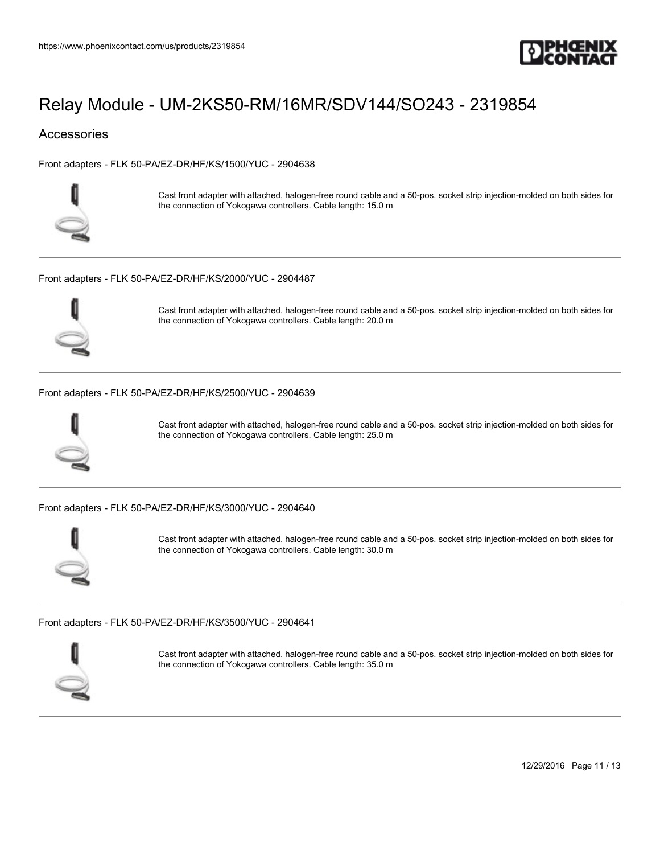

## **Accessories**

[Front adapters - FLK 50-PA/EZ-DR/HF/KS/1500/YUC - 2904638](https://www.phoenixcontact.com/us/products/2904638)



Cast front adapter with attached, halogen-free round cable and a 50-pos. socket strip injection-molded on both sides for the connection of Yokogawa controllers. Cable length: 15.0 m

[Front adapters - FLK 50-PA/EZ-DR/HF/KS/2000/YUC - 2904487](https://www.phoenixcontact.com/us/products/2904487)



Cast front adapter with attached, halogen-free round cable and a 50-pos. socket strip injection-molded on both sides for the connection of Yokogawa controllers. Cable length: 20.0 m

#### [Front adapters - FLK 50-PA/EZ-DR/HF/KS/2500/YUC - 2904639](https://www.phoenixcontact.com/us/products/2904639)



Cast front adapter with attached, halogen-free round cable and a 50-pos. socket strip injection-molded on both sides for the connection of Yokogawa controllers. Cable length: 25.0 m

[Front adapters - FLK 50-PA/EZ-DR/HF/KS/3000/YUC - 2904640](https://www.phoenixcontact.com/us/products/2904640)



Cast front adapter with attached, halogen-free round cable and a 50-pos. socket strip injection-molded on both sides for the connection of Yokogawa controllers. Cable length: 30.0 m

[Front adapters - FLK 50-PA/EZ-DR/HF/KS/3500/YUC - 2904641](https://www.phoenixcontact.com/us/products/2904641)



Cast front adapter with attached, halogen-free round cable and a 50-pos. socket strip injection-molded on both sides for the connection of Yokogawa controllers. Cable length: 35.0 m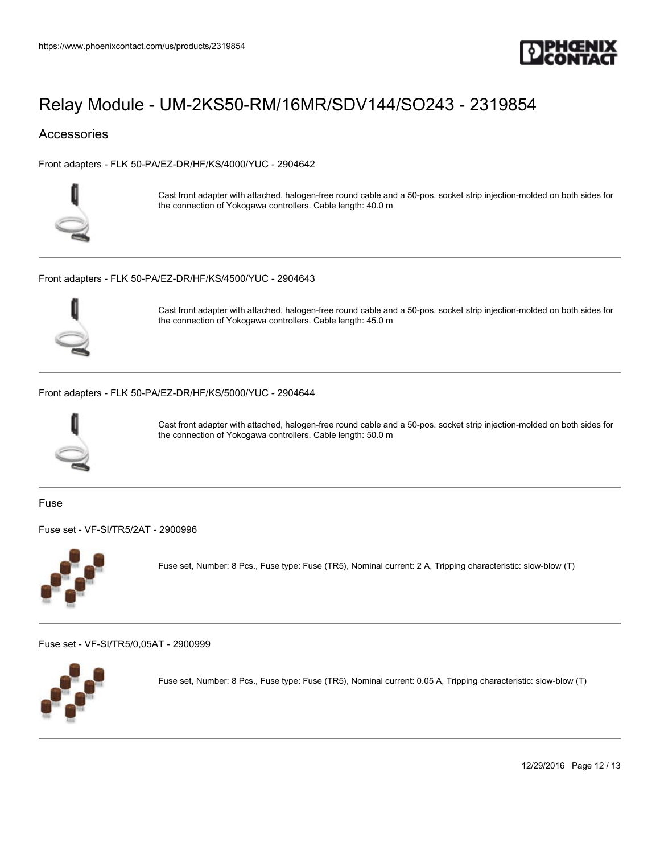

## **Accessories**

[Front adapters - FLK 50-PA/EZ-DR/HF/KS/4000/YUC - 2904642](https://www.phoenixcontact.com/us/products/2904642)



Cast front adapter with attached, halogen-free round cable and a 50-pos. socket strip injection-molded on both sides for the connection of Yokogawa controllers. Cable length: 40.0 m

[Front adapters - FLK 50-PA/EZ-DR/HF/KS/4500/YUC - 2904643](https://www.phoenixcontact.com/us/products/2904643)



Cast front adapter with attached, halogen-free round cable and a 50-pos. socket strip injection-molded on both sides for the connection of Yokogawa controllers. Cable length: 45.0 m

[Front adapters - FLK 50-PA/EZ-DR/HF/KS/5000/YUC - 2904644](https://www.phoenixcontact.com/us/products/2904644)



Cast front adapter with attached, halogen-free round cable and a 50-pos. socket strip injection-molded on both sides for the connection of Yokogawa controllers. Cable length: 50.0 m

Fuse

[Fuse set - VF-SI/TR5/2AT - 2900996](https://www.phoenixcontact.com/us/products/2900996)



Fuse set, Number: 8 Pcs., Fuse type: Fuse (TR5), Nominal current: 2 A, Tripping characteristic: slow-blow (T)

[Fuse set - VF-SI/TR5/0,05AT - 2900999](https://www.phoenixcontact.com/us/products/2900999)



Fuse set, Number: 8 Pcs., Fuse type: Fuse (TR5), Nominal current: 0.05 A, Tripping characteristic: slow-blow (T)